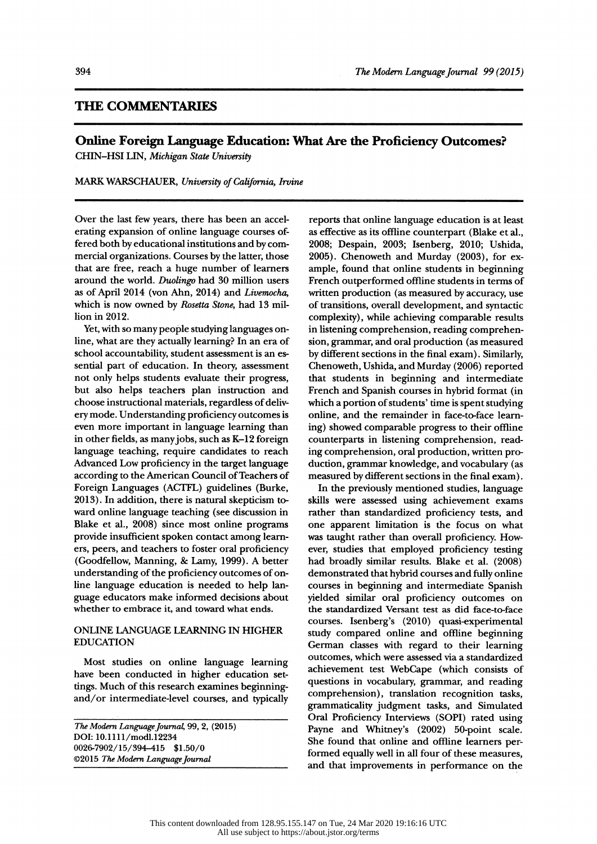## THE COMMENTARIES

# Online Foreign Language Education: What Are the Proficiency Outcomes?

CHIN-HSI LIN, Michigan State University

MARK WARSCHAUER, University of California, Irvine

 Over the last few years, there has been an accel erating expansion of online language courses of fered both by educational institutions and by com mercial organizations. Courses by the latter, those that are free, reach a huge number of learners around the world. Duolingo had 30 million users as of April 2014 (von Ahn, 2014) and Livemocha, which is now owned by Rosetta Stone, had 13 million in 2012.

 Yet, with so many people studying languages on line, what are they actually learning? In an era of school accountability, student assessment is an es sential part of education. In theory, assessment not only helps students evaluate their progress, but also helps teachers plan instruction and choose instructional materials, regardless of deliv ery mode. Understanding proficiency outcomes is even more important in language learning than in other fields, as many jobs, such as K-12 foreign language teaching, require candidates to reach Advanced Low proficiency in the target language according to the American Council of Teachers of Foreign Languages (ACTFL) guidelines (Burke, 2013). In addition, there is natural skepticism to ward online language teaching (see discussion in Blake et al., 2008) since most online programs provide insufficient spoken contact among learn ers, peers, and teachers to foster oral proficiency (Goodfellow, Manning, 8c Lamy, 1999). A better understanding of the proficiency outcomes of on line language education is needed to help lan guage educators make informed decisions about whether to embrace it, and toward what ends.

### ONLINE LANGUAGE LEARNING IN HIGHER EDUCATION

 Most studies on online language learning have been conducted in higher education set tings. Much of this research examines beginning and/or intermediate-level courses, and typically

 The Modern Language Journal, 99, 2, (2015) DOI: 10.1111 /modi. 1 2234 0026-7902/15/394-415 \$1.50/0 ©2015 The Modem Language Journal

 reports that online language education is at least as effective as its offline counterpart (Blake et al., 2008; Despain, 2003; Isenberg, 2010; Ushida, 2005). Chenoweth and Murday (2003), for ex ample, found that online students in beginning French outperformed offline students in terms of written production (as measured by accuracy, use of transitions, overall development, and syntactic complexity), while achieving comparable results in listening comprehension, reading comprehen sion, grammar, and oral production (as measured by different sections in the final exam) . Similarly, Chenoweth, Ushida, and Murday (2006) reported that students in beginning and intermediate French and Spanish courses in hybrid format (in which a portion of students' time is spent studying online, and the remainder in face-to-face learn ing) showed comparable progress to their offline counterparts in listening comprehension, read ing comprehension, oral production, written pro duction, grammar knowledge, and vocabulary (as measured by different sections in the final exam) .

 In the previously mentioned studies, language skills were assessed using achievement exams rather than standardized proficiency tests, and one apparent limitation is the focus on what was taught rather than overall proficiency. How ever, studies that employed proficiency testing had broadly similar results. Blake et al. (2008) demonstrated that hybrid courses and fully online courses in beginning and intermediate Spanish yielded similar oral proficiency outcomes on the standardized Versant test as did face-to-face courses. Isenberg's (2010) quasi-experimental study compared online and offline beginning German classes with regard to their learning outcomes, which were assessed via a standardized achievement test WebCape (which consists of questions in vocabulary, grammar, and reading comprehension), translation recognition tasks, grammaticality judgment tasks, and Simulated Oral Proficiency Interviews (SOPI) rated using Payne and Whitney's (2002) 50-point scale. She found that online and offline learners per formed equally well in all four of these measures, and that improvements in performance on the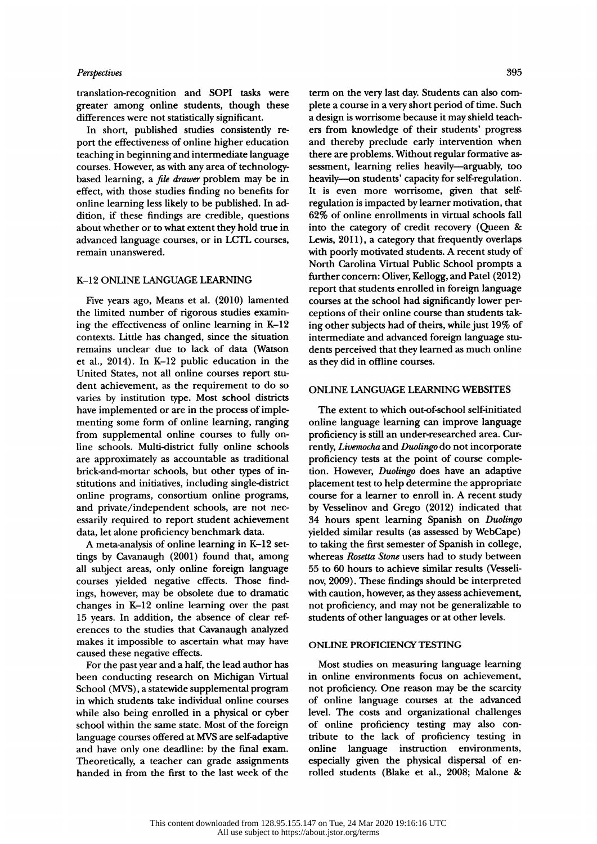#### **Perspectives**

translation-recognition and SOPI tasks were greater among online students, though these differences were not statistically significant.

 In short, published studies consistently re port the effectiveness of online higher education teaching in beginning and intermediate language courses. However, as with any area of technology based learning, a file drawer problem may be in effect, with those studies finding no benefits for online learning less likely to be published. In ad dition, if these findings are credible, questions about whether or to what extent they hold true in advanced language courses, or in LCTL courses, remain unanswered.

#### K-12 ONLINE LANGUAGE LEARNING

 Five years ago, Means et al. (2010) lamented the limited number of rigorous studies examin ing the effectiveness of online learning in K-12 contexts. Little has changed, since the situation remains unclear due to lack of data (Watson et al., 2014). In K-12 public education in the United States, not all online courses report stu dent achievement, as the requirement to do so varies by institution type. Most school districts have implemented or are in the process of imple menting some form of online learning, ranging from supplemental online courses to fully on line schools. Multi-district fully online schools are approximately as accountable as traditional brick-and-mortar schools, but other types of in stitutions and initiatives, including single-district online programs, consortium online programs, and private/independent schools, are not nec essarily required to report student achievement data, let alone proficiency benchmark data.

 A meta-analysis of online learning in K-12 set tings by Cavanaugh (2001) found that, among all subject areas, only online foreign language courses yielded negative effects. Those find ings, however, may be obsolete due to dramatic changes in K-12 online learning over the past 15 years. In addition, the absence of clear ref erences to the studies that Cavanaugh analyzed makes it impossible to ascertain what may have caused these negative effects.

 For the past year and a half, the lead author has been conducting research on Michigan Virtual School (MVS) , a statewide supplemental program in which students take individual online courses while also being enrolled in a physical or cyber school within the same state. Most of the foreign language courses offered at MVS are self-adaptive tribute<br>and have only one deadline: by the final exam. online and have only one deadline: by the final exam. Theoretically, a teacher can grade assignments handed in from the first to the last week of the

 term on the very last day. Students can also com plete a course in a very short period of time. Such a design is worrisome because it may shield teach ers from knowledge of their students' progress and thereby preclude early intervention when there are problems. Without regular formative as sessment, learning relies heavily—arguably, too heavily-on students' capacity for self-regulation. It is even more worrisome, given that self regulation is impacted by learner motivation, that 62% of online enrollments in virtual schools fall into the category of credit recovery (Queen & Lewis, 2011), a category that frequently overlaps with poorly motivated students. A recent study of North Carolina Virtual Public School prompts a further concern: Oliver, Kellogg, and Patel (2012) report that students enrolled in foreign language courses at the school had significantly lower per ceptions of their online course than students tak ing other subjects had of theirs, while just 19% of intermediate and advanced foreign language stu dents perceived that they learned as much online as they did in offline courses.

#### ONLINE LANGUAGE LEARNING WEBSITES

 The extent to which out-of-school self-initiated online language learning can improve language proficiency is still an under-researched area. Cur rently, Livemocha and Duolingo do not incorporate proficiency tests at the point of course comple tion. However, Duolingo does have an adaptive placement test to help determine the appropriate course for a learner to enroll in. A recent study by Vesselinov and Grego (2012) indicated that 34 hours spent learning Spanish on Duolingo yielded similar results (as assessed by WebCape) to taking the first semester of Spanish in college, whereas Rosetta Stone users had to study between 55 to 60 hours to achieve similar results (Vesseli nov, 2009). These findings should be interpreted with caution, however, as they assess achievement, not proficiency, and may not be generalizable to students of other languages or at other levels.

#### ONLINE PROFICIENCY TESTING

 Most studies on measuring language learning in online environments focus on achievement, not proficiency. One reason may be the scarcity of online language courses at the advanced level. The costs and organizational challenges of online proficiency testing may also con tribute to the lack of proficiency testing in language instruction environments, especially given the physical dispersal of en rolled students (Blake et al., 2008; Malone &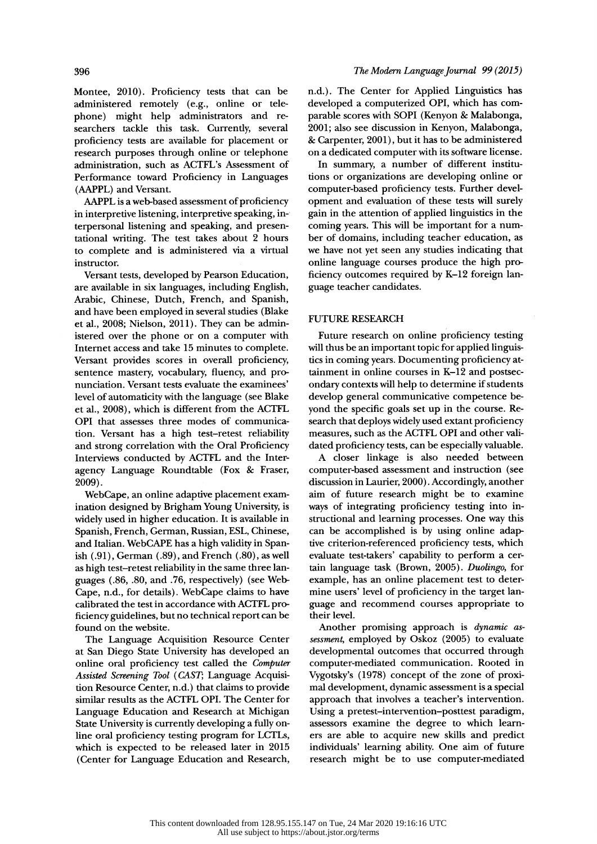Montee, 2010). Proficiency tests that can be administered remotely (e.g., online or tele phone) might help administrators and re searchers tackle this task. Currently, several proficiency tests are available for placement or research purposes through online or telephone administration, such as ACTFL's Assessment of Performance toward Proficiency in Languages (AAPPL) and Versant.

 AAPPL is a web-based assessment of proficiency in interpretive listening, interpretive speaking, in terpersonal listening and speaking, and presen tational writing. The test takes about 2 hours to complete and is administered via a virtual instructor.

 Versant tests, developed by Pearson Education, are available in six languages, including English, Arabic, Chinese, Dutch, French, and Spanish, and have been employed in several studies (Blake et al., 2008; Nielson, 2011). They can be admin istered over the phone or on a computer with Internet access and take 15 minutes to complete. Versant provides scores in overall proficiency, sentence mastery, vocabulary, fluency, and pro nunciation. Versant tests evaluate the examinees' level of automaticity with the language (see Blake et al., 2008), which is different from the ACTFL OPI that assesses three modes of communica tion. Versant has a high test-retest reliability and strong correlation with the Oral Proficiency Interviews conducted by ACTFL and the Inter agency Language Roundtable (Fox & Fraser, 2009).

 WebCape, an online adaptive placement exam ination designed by Brigham Young University, is widely used in higher education. It is available in Spanish, French, German, Russian, ESL, Chinese, and Italian. WebCAPE has a high validity in Span ish (.91), German (.89), and French (.80), as well as high test-retest reliability in the same three lan guages (.86, .80, and .76, respectively) (see Web- Cape, n.d., for details). WebCape claims to have calibrated the test in accordance with ACTFL pro ficiency guidelines, but no technical report can be found on the website.

 The Language Acquisition Resource Center at San Diego State University has developed an online oral proficiency test called the Computer Assisted Screening Tool (CAST; Language Acquisi tion Resource Center, n.d.) that claims to provide similar results as the ACTFL OPI. The Center for Language Education and Research at Michigan State University is currently developing a fully on line oral proficiency testing program for LCTLs, which is expected to be released later in 2015 (Center for Language Education and Research,  n.d.). The Center for Applied Linguistics has developed a computerized OPI, which has com parable scores with SOPI (Kenyon & Malabonga, 2001; also see discussion in Kenyon, Malabonga, 8c Carpenter, 2001), but it has to be administered on a dedicated computer with its software license.

 In summary, a number of different institu tions or organizations are developing online or computer-based proficiency tests. Further devel opment and evaluation of these tests will surely gain in the attention of applied linguistics in the coming years. This will be important for a num ber of domains, including teacher education, as we have not yet seen any studies indicating that online language courses produce the high pro ficiency outcomes required by K-12 foreign lan guage teacher candidates.

#### FUTURE RESEARCH

 Future research on online proficiency testing will thus be an important topic for applied linguis tics in coming years. Documenting proficiency at tainment in online courses in K-12 and postsec ondary contexts will help to determine if students develop general communicative competence be yond the specific goals set up in the course. Re search that deploys widely used extant proficiency measures, such as the ACTFL OPI and other vali dated proficiency tests, can be especially valuable.

 A closer linkage is also needed between computer-based assessment and instruction (see discussion in Laurier, 2000) . Accordingly, another aim of future research might be to examine ways of integrating proficiency testing into in structional and learning processes. One way this can be accomplished is by using online adap tive criterion-referenced proficiency tests, which evaluate test-takers' capability to perform a cer tain language task (Brown, 2005). Duolingo, for example, has an online placement test to deter mine users' level of proficiency in the target lan guage and recommend courses appropriate to their level.

 Another promising approach is dynamic as sessment, employed by Oskoz (2005) to evaluate developmental outcomes that occurred through computer-mediated communication. Rooted in Vygotsky's (1978) concept of the zone of proxi mal development, dynamic assessment is a special approach that involves a teacher's intervention. Using a pretest-intervention-posttest paradigm, assessors examine the degree to which learn ers are able to acquire new skills and predict individuals' learning ability. One aim of future research might be to use computer-mediated